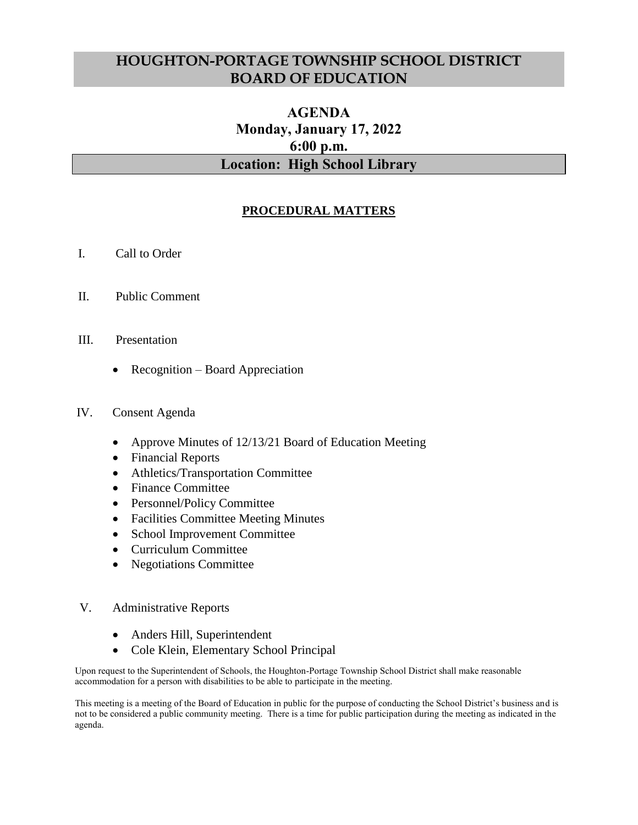## **HOUGHTON-PORTAGE TOWNSHIP SCHOOL DISTRICT BOARD OF EDUCATION**

## **AGENDA Monday, January 17, 2022 6:00 p.m. Location: High School Library**

## **PROCEDURAL MATTERS**

- I. Call to Order
- II. Public Comment
- III. Presentation
	- Recognition Board Appreciation
- IV. Consent Agenda
	- Approve Minutes of 12/13/21 Board of Education Meeting
	- Financial Reports
	- Athletics/Transportation Committee
	- Finance Committee
	- Personnel/Policy Committee
	- Facilities Committee Meeting Minutes
	- School Improvement Committee
	- Curriculum Committee
	- Negotiations Committee
- V. Administrative Reports
	- Anders Hill, Superintendent
	- Cole Klein, Elementary School Principal

Upon request to the Superintendent of Schools, the Houghton-Portage Township School District shall make reasonable accommodation for a person with disabilities to be able to participate in the meeting.

This meeting is a meeting of the Board of Education in public for the purpose of conducting the School District's business and is not to be considered a public community meeting. There is a time for public participation during the meeting as indicated in the agenda.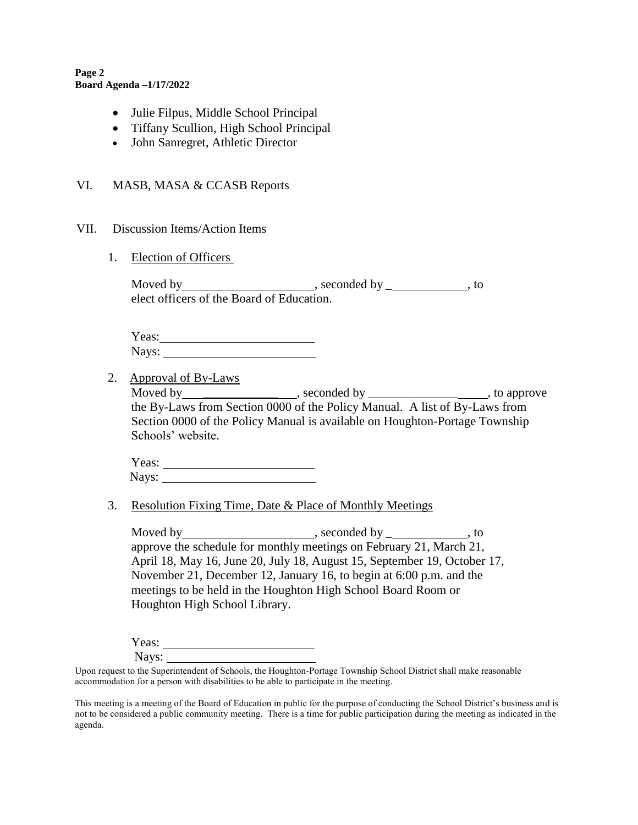**Page 2 Board Agenda –1/17/2022**

- Julie Filpus, Middle School Principal
- Tiffany Scullion, High School Principal
- John Sanregret, Athletic Director

## VI. MASB, MASA & CCASB Reports

- VII. Discussion Items/Action Items
	- 1. Election of Officers

| Moved by                                  | , seconded by | tc |
|-------------------------------------------|---------------|----|
| elect officers of the Board of Education. |               |    |

| Yeas: |  |
|-------|--|
| Nays: |  |

2. Approval of By-Laws

Moved by \_\_\_\_\_\_\_\_\_\_\_\_\_\_\_\_\_\_\_\_, seconded by \_\_\_\_\_\_\_\_\_\_\_\_\_\_\_\_\_\_\_\_\_\_, to approve the By-Laws from Section 0000 of the Policy Manual. A list of By-Laws from Section 0000 of the Policy Manual is available on Houghton-Portage Township Schools' website.

| Yeas: |  |
|-------|--|
| Nays: |  |

3. Resolution Fixing Time, Date & Place of Monthly Meetings

Moved by , seconded by \_ , to approve the schedule for monthly meetings on February 21, March 21, April 18, May 16, June 20, July 18, August 15, September 19, October 17, November 21, December 12, January 16, to begin at 6:00 p.m. and the meetings to be held in the Houghton High School Board Room or Houghton High School Library.

Yeas:  $\blacksquare$ Nays:

Upon request to the Superintendent of Schools, the Houghton-Portage Township School District shall make reasonable accommodation for a person with disabilities to be able to participate in the meeting.

This meeting is a meeting of the Board of Education in public for the purpose of conducting the School District's business and is not to be considered a public community meeting. There is a time for public participation during the meeting as indicated in the agenda.